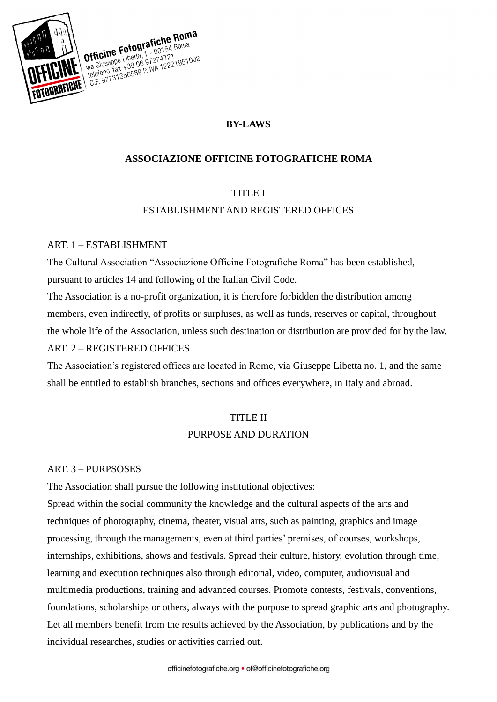

## **BY-LAWS**

#### **ASSOCIAZIONE OFFICINE FOTOGRAFICHE ROMA**

#### TITLE I

#### ESTABLISHMENT AND REGISTERED OFFICES

#### ART. 1 – ESTABLISHMENT

The Cultural Association "Associazione Officine Fotografiche Roma" has been established, pursuant to articles 14 and following of the Italian Civil Code.

The Association is a no-profit organization, it is therefore forbidden the distribution among members, even indirectly, of profits or surpluses, as well as funds, reserves or capital, throughout the whole life of the Association, unless such destination or distribution are provided for by the law. ART. 2 – REGISTERED OFFICES

The Association's registered offices are located in Rome, via Giuseppe Libetta no. 1, and the same shall be entitled to establish branches, sections and offices everywhere, in Italy and abroad.

#### TITLE II

#### PURPOSE AND DURATION

#### ART. 3 – PURPSOSES

The Association shall pursue the following institutional objectives:

Spread within the social community the knowledge and the cultural aspects of the arts and techniques of photography, cinema, theater, visual arts, such as painting, graphics and image processing, through the managements, even at third parties' premises, of courses, workshops, internships, exhibitions, shows and festivals. Spread their culture, history, evolution through time, learning and execution techniques also through editorial, video, computer, audiovisual and multimedia productions, training and advanced courses. Promote contests, festivals, conventions, foundations, scholarships or others, always with the purpose to spread graphic arts and photography. Let all members benefit from the results achieved by the Association, by publications and by the individual researches, studies or activities carried out.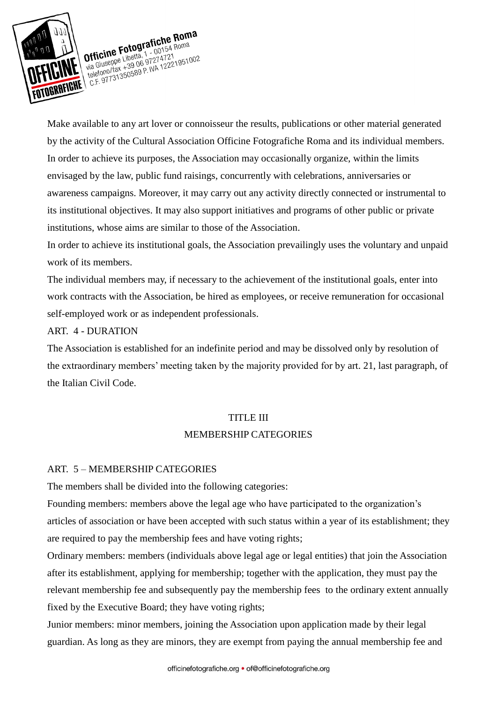

Make available to any art lover or connoisseur the results, publications or other material generated by the activity of the Cultural Association Officine Fotografiche Roma and its individual members. In order to achieve its purposes, the Association may occasionally organize, within the limits envisaged by the law, public fund raisings, concurrently with celebrations, anniversaries or awareness campaigns. Moreover, it may carry out any activity directly connected or instrumental to its institutional objectives. It may also support initiatives and programs of other public or private institutions, whose aims are similar to those of the Association.

In order to achieve its institutional goals, the Association prevailingly uses the voluntary and unpaid work of its members.

The individual members may, if necessary to the achievement of the institutional goals, enter into work contracts with the Association, be hired as employees, or receive remuneration for occasional self-employed work or as independent professionals.

#### ART. 4 - DURATION

The Association is established for an indefinite period and may be dissolved only by resolution of the extraordinary members' meeting taken by the majority provided for by art. 21, last paragraph, of the Italian Civil Code.

#### TITLE III

#### MEMBERSHIP CATEGORIES

#### ART. 5 – MEMBERSHIP CATEGORIES

The members shall be divided into the following categories:

Founding members: members above the legal age who have participated to the organization's articles of association or have been accepted with such status within a year of its establishment; they are required to pay the membership fees and have voting rights;

Ordinary members: members (individuals above legal age or legal entities) that join the Association after its establishment, applying for membership; together with the application, they must pay the relevant membership fee and subsequently pay the membership fees to the ordinary extent annually fixed by the Executive Board; they have voting rights;

Junior members: minor members, joining the Association upon application made by their legal guardian. As long as they are minors, they are exempt from paying the annual membership fee and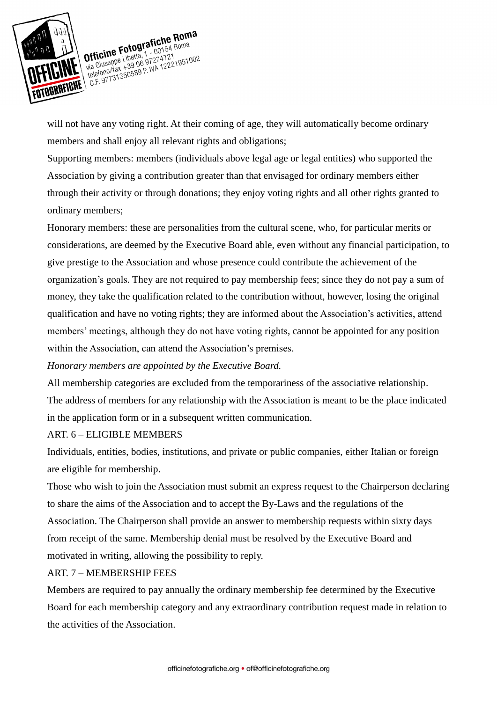

will not have any voting right. At their coming of age, they will automatically become ordinary members and shall enjoy all relevant rights and obligations;

Supporting members: members (individuals above legal age or legal entities) who supported the Association by giving a contribution greater than that envisaged for ordinary members either through their activity or through donations; they enjoy voting rights and all other rights granted to ordinary members;

Honorary members: these are personalities from the cultural scene, who, for particular merits or considerations, are deemed by the Executive Board able, even without any financial participation, to give prestige to the Association and whose presence could contribute the achievement of the organization's goals. They are not required to pay membership fees; since they do not pay a sum of money, they take the qualification related to the contribution without, however, losing the original qualification and have no voting rights; they are informed about the Association's activities, attend members' meetings, although they do not have voting rights, cannot be appointed for any position within the Association, can attend the Association's premises.

*Honorary members are appointed by the Executive Board.*

All membership categories are excluded from the temporariness of the associative relationship. The address of members for any relationship with the Association is meant to be the place indicated in the application form or in a subsequent written communication.

#### ART. 6 – ELIGIBLE MEMBERS

Individuals, entities, bodies, institutions, and private or public companies, either Italian or foreign are eligible for membership.

Those who wish to join the Association must submit an express request to the Chairperson declaring to share the aims of the Association and to accept the By-Laws and the regulations of the Association. The Chairperson shall provide an answer to membership requests within sixty days from receipt of the same. Membership denial must be resolved by the Executive Board and motivated in writing, allowing the possibility to reply.

#### ART. 7 – MEMBERSHIP FEES

Members are required to pay annually the ordinary membership fee determined by the Executive Board for each membership category and any extraordinary contribution request made in relation to the activities of the Association.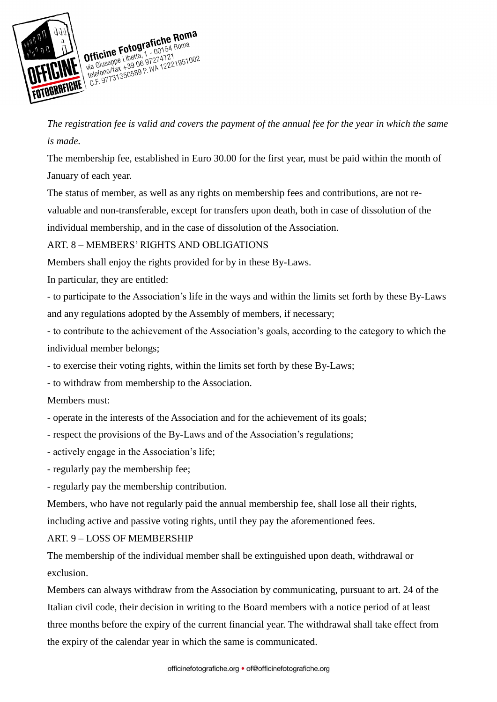

*The registration fee is valid and covers the payment of the annual fee for the year in which the same is made.* 

The membership fee, established in Euro 30.00 for the first year, must be paid within the month of January of each year.

The status of member, as well as any rights on membership fees and contributions, are not re-

valuable and non-transferable, except for transfers upon death, both in case of dissolution of the individual membership, and in the case of dissolution of the Association.

## ART. 8 – MEMBERS' RIGHTS AND OBLIGATIONS

Members shall enjoy the rights provided for by in these By-Laws.

In particular, they are entitled:

- to participate to the Association's life in the ways and within the limits set forth by these By-Laws and any regulations adopted by the Assembly of members, if necessary;

- to contribute to the achievement of the Association's goals, according to the category to which the individual member belongs;

- to exercise their voting rights, within the limits set forth by these By-Laws;

- to withdraw from membership to the Association.

Members must:

- operate in the interests of the Association and for the achievement of its goals;

- respect the provisions of the By-Laws and of the Association's regulations;

- actively engage in the Association's life;
- regularly pay the membership fee;

- regularly pay the membership contribution.

Members, who have not regularly paid the annual membership fee, shall lose all their rights,

including active and passive voting rights, until they pay the aforementioned fees.

ART. 9 – LOSS OF MEMBERSHIP

The membership of the individual member shall be extinguished upon death, withdrawal or exclusion.

Members can always withdraw from the Association by communicating, pursuant to art. 24 of the Italian civil code, their decision in writing to the Board members with a notice period of at least three months before the expiry of the current financial year. The withdrawal shall take effect from the expiry of the calendar year in which the same is communicated.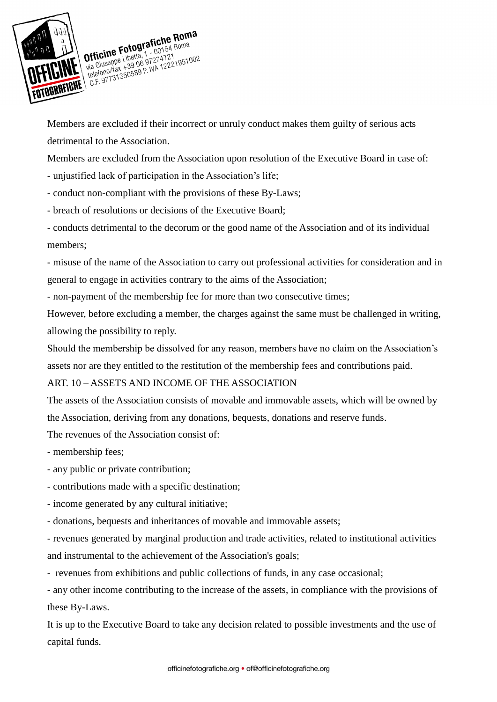

Officine Fotografiche Roma<br>Officine Fotografiche Roma<br>Lineppe Libetta, 1 - 00154 Roma **Officine Fotografiche Ruma**<br>
Via Giuseppe Libetta, 1 - 00154 Roma<br>
Via Giuseppe Libetta, 1 - 274721<br>
telefono/fax +39 06 97274721<br>
telefono/fax +39 06 9727472219510<br>
telefono/fax +39 06 P. WA 122219510 **ICINE** Via Giuseppe Liberta, 1 - 001541<br>
Via Giuseppe Liberta, 1 - 001541<br>
telefono/fax +39 06 97274721<br>
C.F. 97731350589 P. WA 12221951002

Members are excluded if their incorrect or unruly conduct makes them guilty of serious acts detrimental to the Association.

Members are excluded from the Association upon resolution of the Executive Board in case of:

- unjustified lack of participation in the Association's life;

- conduct non-compliant with the provisions of these By-Laws;

- breach of resolutions or decisions of the Executive Board;

- conducts detrimental to the decorum or the good name of the Association and of its individual members;

- misuse of the name of the Association to carry out professional activities for consideration and in general to engage in activities contrary to the aims of the Association;

- non-payment of the membership fee for more than two consecutive times;

However, before excluding a member, the charges against the same must be challenged in writing, allowing the possibility to reply.

Should the membership be dissolved for any reason, members have no claim on the Association's assets nor are they entitled to the restitution of the membership fees and contributions paid.

## ART. 10 – ASSETS AND INCOME OF THE ASSOCIATION

The assets of the Association consists of movable and immovable assets, which will be owned by the Association, deriving from any donations, bequests, donations and reserve funds.

The revenues of the Association consist of:

- membership fees;

- any public or private contribution;
- contributions made with a specific destination;
- income generated by any cultural initiative;
- donations, bequests and inheritances of movable and immovable assets;

*-* revenues generated by marginal production and trade activities, related to institutional activities and instrumental to the achievement of the Association's goals;

*-* revenues from exhibitions and public collections of funds, in any case occasional;

*-* any other income contributing to the increase of the assets, in compliance with the provisions of these By-Laws.

It is up to the Executive Board to take any decision related to possible investments and the use of capital funds.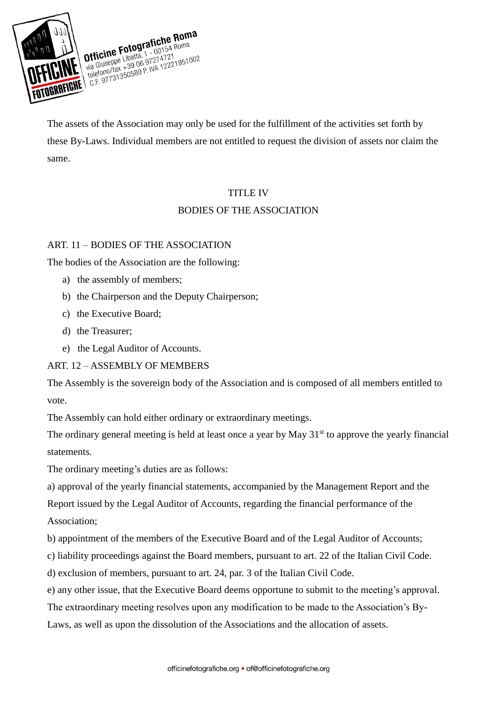

The assets of the Association may only be used for the fulfillment of the activities set forth by these By-Laws. Individual members are not entitled to request the division of assets nor claim the same.

## TITLE IV

# BODIES OF THE ASSOCIATION

## ART. 11 – BODIES OF THE ASSOCIATION

The bodies of the Association are the following:

- a) the assembly of members;
- b) the Chairperson and the Deputy Chairperson;
- c) the Executive Board;
- d) the Treasurer;
- e) the Legal Auditor of Accounts.

## ART. 12 – ASSEMBLY OF MEMBERS

The Assembly is the sovereign body of the Association and is composed of all members entitled to vote.

The Assembly can hold either ordinary or extraordinary meetings.

The ordinary general meeting is held at least once a year by May  $31<sup>st</sup>$  to approve the yearly financial statements.

The ordinary meeting's duties are as follows:

a) approval of the yearly financial statements, accompanied by the Management Report and the

Report issued by the Legal Auditor of Accounts, regarding the financial performance of the Association;

b) appointment of the members of the Executive Board and of the Legal Auditor of Accounts;

c) liability proceedings against the Board members, pursuant to art. 22 of the Italian Civil Code.

d) exclusion of members, pursuant to art. 24, par. 3 of the Italian Civil Code.

e) any other issue, that the Executive Board deems opportune to submit to the meeting's approval.

The extraordinary meeting resolves upon any modification to be made to the Association's By-

Laws, as well as upon the dissolution of the Associations and the allocation of assets.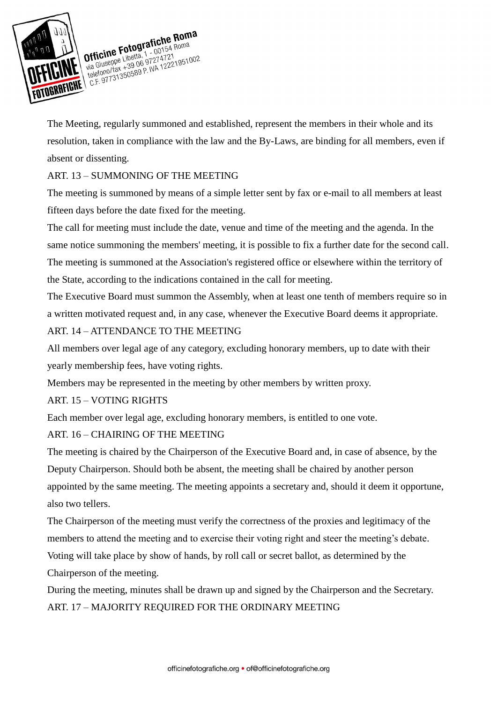

Officine Fotografiche Roma<br>Officine Fotografiche Roma<br>Lineppe Libetta, 1 - 00154 Roma TOGRAFICHE C.F. 97731350589 P. WA 12221951002

The Meeting, regularly summoned and established, represent the members in their whole and its resolution, taken in compliance with the law and the By-Laws, are binding for all members, even if absent or dissenting.

## ART. 13 – SUMMONING OF THE MEETING

The meeting is summoned by means of a simple letter sent by fax or e-mail to all members at least fifteen days before the date fixed for the meeting.

The call for meeting must include the date, venue and time of the meeting and the agenda. In the same notice summoning the members' meeting, it is possible to fix a further date for the second call. The meeting is summoned at the Association's registered office or elsewhere within the territory of the State, according to the indications contained in the call for meeting.

The Executive Board must summon the Assembly, when at least one tenth of members require so in a written motivated request and, in any case, whenever the Executive Board deems it appropriate.

# ART. 14 – ATTENDANCE TO THE MEETING

All members over legal age of any category, excluding honorary members, up to date with their yearly membership fees, have voting rights.

Members may be represented in the meeting by other members by written proxy.

## ART. 15 – VOTING RIGHTS

Each member over legal age, excluding honorary members, is entitled to one vote.

## ART. 16 – CHAIRING OF THE MEETING

The meeting is chaired by the Chairperson of the Executive Board and, in case of absence, by the Deputy Chairperson. Should both be absent, the meeting shall be chaired by another person appointed by the same meeting. The meeting appoints a secretary and, should it deem it opportune, also two tellers.

The Chairperson of the meeting must verify the correctness of the proxies and legitimacy of the members to attend the meeting and to exercise their voting right and steer the meeting's debate.

Voting will take place by show of hands, by roll call or secret ballot, as determined by the Chairperson of the meeting.

During the meeting, minutes shall be drawn up and signed by the Chairperson and the Secretary. ART. 17 – MAJORITY REQUIRED FOR THE ORDINARY MEETING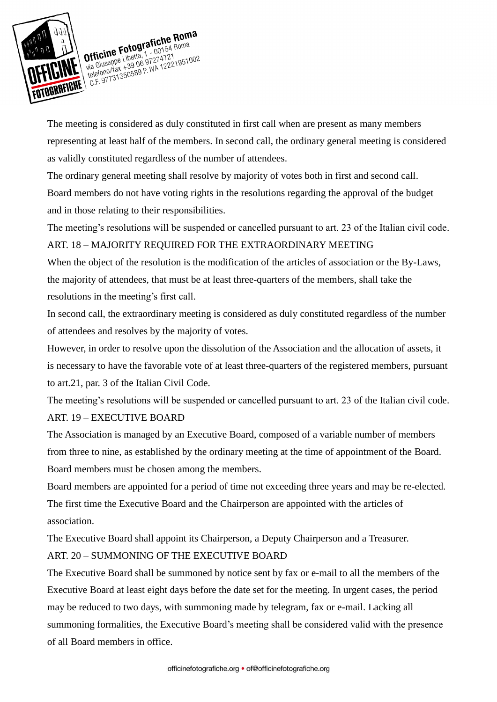

The meeting is considered as duly constituted in first call when are present as many members representing at least half of the members. In second call, the ordinary general meeting is considered as validly constituted regardless of the number of attendees.

The ordinary general meeting shall resolve by majority of votes both in first and second call. Board members do not have voting rights in the resolutions regarding the approval of the budget and in those relating to their responsibilities.

The meeting's resolutions will be suspended or cancelled pursuant to art. 23 of the Italian civil code.

## ART. 18 – MAJORITY REQUIRED FOR THE EXTRAORDINARY MEETING

When the object of the resolution is the modification of the articles of association or the By-Laws, the majority of attendees, that must be at least three-quarters of the members, shall take the resolutions in the meeting's first call.

In second call, the extraordinary meeting is considered as duly constituted regardless of the number of attendees and resolves by the majority of votes.

However, in order to resolve upon the dissolution of the Association and the allocation of assets, it is necessary to have the favorable vote of at least three-quarters of the registered members, pursuant to art.21, par. 3 of the Italian Civil Code.

The meeting's resolutions will be suspended or cancelled pursuant to art. 23 of the Italian civil code. ART. 19 – EXECUTIVE BOARD

The Association is managed by an Executive Board, composed of a variable number of members from three to nine, as established by the ordinary meeting at the time of appointment of the Board. Board members must be chosen among the members.

Board members are appointed for a period of time not exceeding three years and may be re-elected. The first time the Executive Board and the Chairperson are appointed with the articles of association.

The Executive Board shall appoint its Chairperson, a Deputy Chairperson and a Treasurer. ART. 20 – SUMMONING OF THE EXECUTIVE BOARD

The Executive Board shall be summoned by notice sent by fax or e-mail to all the members of the Executive Board at least eight days before the date set for the meeting. In urgent cases, the period may be reduced to two days, with summoning made by telegram, fax or e-mail. Lacking all summoning formalities, the Executive Board's meeting shall be considered valid with the presence of all Board members in office.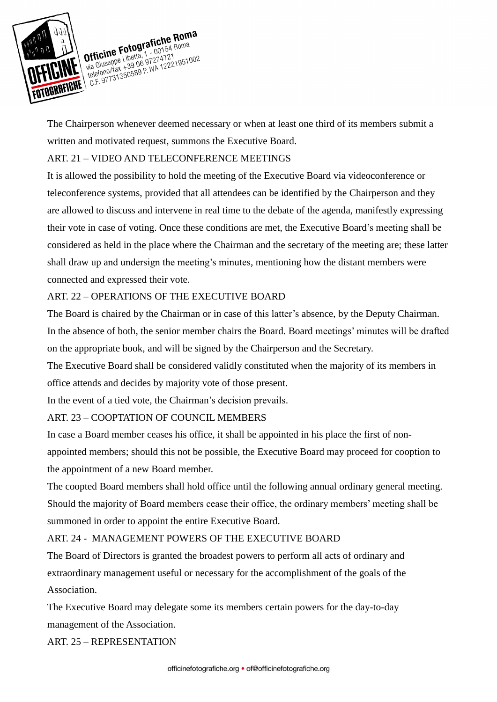

Officine Fotografiche Roma<br>Officine Fotografiche Roma<br>Lineppe Libetta, 1 - 00154 Roma TORRAFIGHT C.F. 97731350589 P. WA 12221951002

The Chairperson whenever deemed necessary or when at least one third of its members submit a written and motivated request, summons the Executive Board.

## ART. 21 – VIDEO AND TELECONFERENCE MEETINGS

It is allowed the possibility to hold the meeting of the Executive Board via videoconference or teleconference systems, provided that all attendees can be identified by the Chairperson and they are allowed to discuss and intervene in real time to the debate of the agenda, manifestly expressing their vote in case of voting. Once these conditions are met, the Executive Board's meeting shall be considered as held in the place where the Chairman and the secretary of the meeting are; these latter shall draw up and undersign the meeting's minutes, mentioning how the distant members were connected and expressed their vote.

# ART. 22 – OPERATIONS OF THE EXECUTIVE BOARD

The Board is chaired by the Chairman or in case of this latter's absence, by the Deputy Chairman. In the absence of both, the senior member chairs the Board. Board meetings' minutes will be drafted on the appropriate book, and will be signed by the Chairperson and the Secretary.

The Executive Board shall be considered validly constituted when the majority of its members in office attends and decides by majority vote of those present.

In the event of a tied vote, the Chairman's decision prevails.

## ART. 23 – COOPTATION OF COUNCIL MEMBERS

In case a Board member ceases his office, it shall be appointed in his place the first of nonappointed members; should this not be possible, the Executive Board may proceed for cooption to the appointment of a new Board member.

The coopted Board members shall hold office until the following annual ordinary general meeting. Should the majority of Board members cease their office, the ordinary members' meeting shall be summoned in order to appoint the entire Executive Board.

## ART. 24 - MANAGEMENT POWERS OF THE EXECUTIVE BOARD

The Board of Directors is granted the broadest powers to perform all acts of ordinary and extraordinary management useful or necessary for the accomplishment of the goals of the Association.

The Executive Board may delegate some its members certain powers for the day-to-day management of the Association.

ART. 25 – REPRESENTATION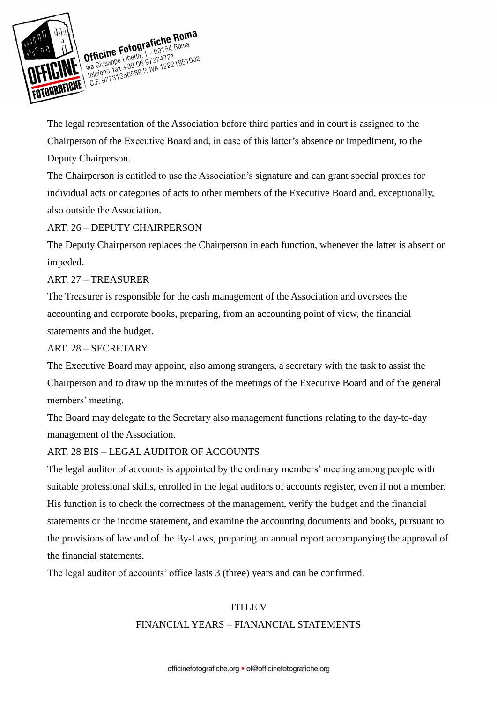

TOGRAFICHE C.F. 97731350589 P. WA 12221951002

The legal representation of the Association before third parties and in court is assigned to the Chairperson of the Executive Board and, in case of this latter's absence or impediment, to the Deputy Chairperson.

The Chairperson is entitled to use the Association's signature and can grant special proxies for individual acts or categories of acts to other members of the Executive Board and, exceptionally, also outside the Association.

# ART. 26 – DEPUTY CHAIRPERSON

The Deputy Chairperson replaces the Chairperson in each function, whenever the latter is absent or impeded.

## ART. 27 – TREASURER

The Treasurer is responsible for the cash management of the Association and oversees the accounting and corporate books, preparing, from an accounting point of view, the financial statements and the budget.

#### ART. 28 – SECRETARY

The Executive Board may appoint, also among strangers, a secretary with the task to assist the Chairperson and to draw up the minutes of the meetings of the Executive Board and of the general members' meeting.

The Board may delegate to the Secretary also management functions relating to the day-to-day management of the Association.

## ART. 28 BIS – LEGAL AUDITOR OF ACCOUNTS

The legal auditor of accounts is appointed by the ordinary members' meeting among people with suitable professional skills, enrolled in the legal auditors of accounts register, even if not a member. His function is to check the correctness of the management, verify the budget and the financial statements or the income statement, and examine the accounting documents and books, pursuant to the provisions of law and of the By-Laws, preparing an annual report accompanying the approval of the financial statements.

The legal auditor of accounts' office lasts 3 (three) years and can be confirmed.

#### TITLE V

#### FINANCIAL YEARS – FIANANCIAL STATEMENTS